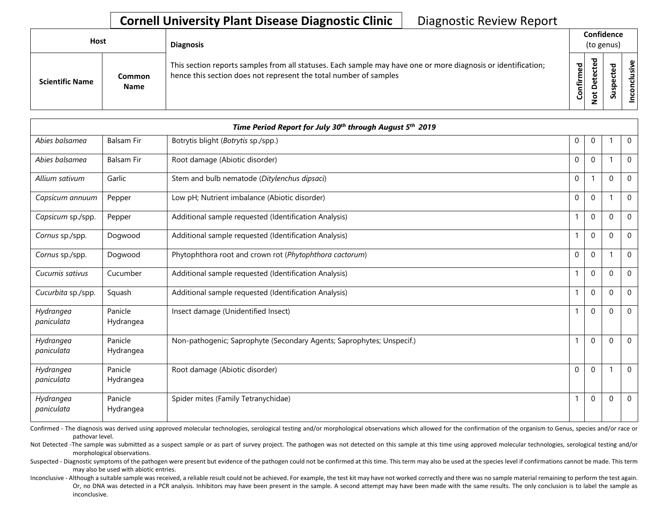| <b>Host</b>            |                       | <b>Diagnosis</b>                                                                                                                                                                   | (to genus)    | Confidence  |                       |                          |
|------------------------|-----------------------|------------------------------------------------------------------------------------------------------------------------------------------------------------------------------------|---------------|-------------|-----------------------|--------------------------|
| <b>Scientific Name</b> | Common<br><b>Name</b> | This section reports samples from all statuses. Each sample may have one or more diagnosis or identification;<br>hence this section does not represent the total number of samples | ರ<br>Confirme | ಕ<br>Φ<br>Φ | ᇃ<br>요<br>S<br>-<br>S | Φ<br><u>'ল</u><br>릉<br>g |

|                         | Time Period Report for July 30th through August 5th 2019 |                                                                       |              |              |          |              |  |  |
|-------------------------|----------------------------------------------------------|-----------------------------------------------------------------------|--------------|--------------|----------|--------------|--|--|
| Abies balsamea          | <b>Balsam Fir</b>                                        | Botrytis blight (Botrytis sp./spp.)                                   | $\mathbf 0$  | $\mathbf 0$  |          | $\mathbf 0$  |  |  |
| Abies balsamea          | <b>Balsam Fir</b>                                        | Root damage (Abiotic disorder)                                        | $\mathbf 0$  | $\mathbf 0$  |          | $\mathbf 0$  |  |  |
| Allium sativum          | Garlic                                                   | Stem and bulb nematode (Ditylenchus dipsaci)                          | $\mathbf 0$  |              | $\Omega$ | $\mathbf{0}$ |  |  |
| Capsicum annuum         | Pepper                                                   | Low pH; Nutrient imbalance (Abiotic disorder)                         | $\Omega$     | $\mathbf{0}$ |          | $\Omega$     |  |  |
| Capsicum sp./spp.       | Pepper                                                   | Additional sample requested (Identification Analysis)                 |              | $\mathbf 0$  | $\Omega$ | $\mathbf 0$  |  |  |
| Cornus sp./spp.         | Dogwood                                                  | Additional sample requested (Identification Analysis)                 |              | $\Omega$     | $\Omega$ | $\mathbf 0$  |  |  |
| Cornus sp./spp.         | Dogwood                                                  | Phytophthora root and crown rot (Phytophthora cactorum)               | $\mathbf 0$  | $\mathbf 0$  |          | $\mathbf 0$  |  |  |
| Cucumis sativus         | Cucumber                                                 | Additional sample requested (Identification Analysis)                 | 1            | $\Omega$     | $\Omega$ | $\Omega$     |  |  |
| Cucurbita sp./spp.      | Squash                                                   | Additional sample requested (Identification Analysis)                 |              | $\mathbf 0$  | $\Omega$ | $\mathbf 0$  |  |  |
| Hydrangea<br>paniculata | Panicle<br>Hydrangea                                     | Insect damage (Unidentified Insect)                                   |              | $\mathbf 0$  | $\Omega$ | $\mathbf 0$  |  |  |
| Hydrangea<br>paniculata | Panicle<br>Hydrangea                                     | Non-pathogenic; Saprophyte (Secondary Agents; Saprophytes; Unspecif.) |              | $\mathbf 0$  | $\Omega$ | $\mathbf 0$  |  |  |
| Hydrangea<br>paniculata | Panicle<br>Hydrangea                                     | Root damage (Abiotic disorder)                                        | $\mathbf{0}$ | $\Omega$     |          | $\mathbf{0}$ |  |  |
| Hydrangea<br>paniculata | Panicle<br>Hydrangea                                     | Spider mites (Family Tetranychidae)                                   | 1            | $\mathbf 0$  | $\Omega$ | $\mathbf 0$  |  |  |

Confirmed - The diagnosis was derived using approved molecular technologies, serological testing and/or morphological observations which allowed for the confirmation of the organism to Genus, species and/or race or pathovar level.

Not Detected -The sample was submitted as a suspect sample or as part of survey project. The pathogen was not detected on this sample at this time using approved molecular technologies, serological testing and/or morphological observations.

Suspected - Diagnostic symptoms of the pathogen were present but evidence of the pathogen could not be confirmed at this time. This term may also be used at the species level if confirmations cannot be made. This term may also be used with abiotic entries.

Or, no DNA was detected in a PCR analysis. Inhibitors may have been present in the sample. A second attempt may have been made with the same results. The only conclusion is to label the sample as Inconclusive - Although a suitable sample was received, a reliable result could not be achieved. For example, the test kit may have not worked correctly and there was no sample material remaining to perform the test again. inconclusive.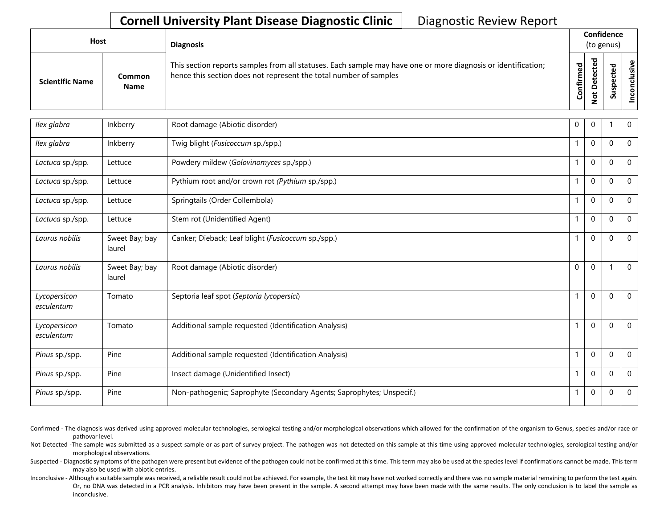| Host                   |                       | <b>Diagnosis</b>                                                                                                                                                                   |                                  | Confidence<br>(to genus) |          |              |  |  |  |
|------------------------|-----------------------|------------------------------------------------------------------------------------------------------------------------------------------------------------------------------------|----------------------------------|--------------------------|----------|--------------|--|--|--|
| <b>Scientific Name</b> | Common<br><b>Name</b> | This section reports samples from all statuses. Each sample may have one or more diagnosis or identification;<br>hence this section does not represent the total number of samples | ъ<br>$\mathbf{Q}$<br>nfirm<br>ပိ |                          | <b>S</b> | ω<br>'ল<br>Ō |  |  |  |

| Ilex glabra                | Inkberry                 | Root damage (Abiotic disorder)                                        | $\Omega$     | $\mathbf{0}$     |             | $\mathbf 0$  |
|----------------------------|--------------------------|-----------------------------------------------------------------------|--------------|------------------|-------------|--------------|
| Ilex glabra                | Inkberry                 | Twig blight (Fusicoccum sp./spp.)                                     |              | $\Omega$         | $\Omega$    | $\mathbf{0}$ |
| Lactuca sp./spp.           | Lettuce                  | Powdery mildew (Golovinomyces sp./spp.)                               |              | $\mathbf 0$      | $\Omega$    | $\mathbf 0$  |
| Lactuca sp./spp.           | Lettuce                  | Pythium root and/or crown rot (Pythium sp./spp.)                      | $\mathbf{1}$ | $\Omega$         | $\Omega$    | $\mathbf{0}$ |
| Lactuca sp./spp.           | Lettuce                  | Springtails (Order Collembola)                                        |              | $\Omega$         | $\Omega$    | $\mathbf 0$  |
| Lactuca sp./spp.           | Lettuce                  | Stem rot (Unidentified Agent)                                         |              | $\mathbf 0$      | 0           | $\mathbf 0$  |
| Laurus nobilis             | Sweet Bay; bay<br>laurel | Canker; Dieback; Leaf blight (Fusicoccum sp./spp.)                    |              | $\Omega$         | $\Omega$    | $\mathbf 0$  |
| Laurus nobilis             | Sweet Bay; bay<br>laurel | Root damage (Abiotic disorder)                                        | $\Omega$     | $\Omega$         |             | $\mathbf 0$  |
| Lycopersicon<br>esculentum | Tomato                   | Septoria leaf spot (Septoria lycopersici)                             |              | $\boldsymbol{0}$ | 0           | $\mathbf 0$  |
| Lycopersicon<br>esculentum | Tomato                   | Additional sample requested (Identification Analysis)                 |              | $\mathbf 0$      | $\mathbf 0$ | $\mathbf 0$  |
| Pinus sp./spp.             | Pine                     | Additional sample requested (Identification Analysis)                 |              | $\Omega$         | $\Omega$    | $\Omega$     |
| Pinus sp./spp.             | Pine                     | Insect damage (Unidentified Insect)                                   |              | $\Omega$         | $\Omega$    | $\Omega$     |
| Pinus sp./spp.             | Pine                     | Non-pathogenic; Saprophyte (Secondary Agents; Saprophytes; Unspecif.) | $\mathbf{1}$ | $\mathbf 0$      | 0           | $\mathbf 0$  |
|                            |                          |                                                                       |              |                  |             |              |

Confirmed - The diagnosis was derived using approved molecular technologies, serological testing and/or morphological observations which allowed for the confirmation of the organism to Genus, species and/or race or pathovar level.

Not Detected -The sample was submitted as a suspect sample or as part of survey project. The pathogen was not detected on this sample at this time using approved molecular technologies, serological testing and/or morphological observations.

Suspected - Diagnostic symptoms of the pathogen were present but evidence of the pathogen could not be confirmed at this time. This term may also be used at the species level if confirmations cannot be made. This term may also be used with abiotic entries.

Or, no DNA was detected in a PCR analysis. Inhibitors may have been present in the sample. A second attempt may have been made with the same results. The only conclusion is to label the sample as Inconclusive - Although a suitable sample was received, a reliable result could not be achieved. For example, the test kit may have not worked correctly and there was no sample material remaining to perform the test again. inconclusive.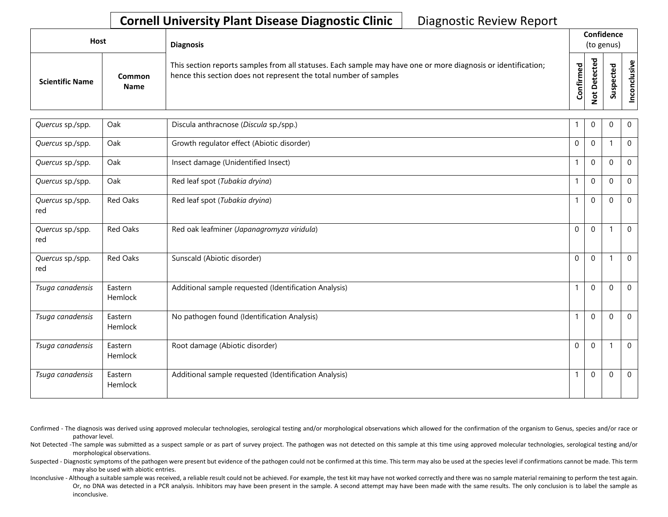| Host |                        |                       | <b>Diagnosis</b>                                                                                                                                                                   |           | Confidence<br>(to genus) |                                  |                                      |  |  |  |
|------|------------------------|-----------------------|------------------------------------------------------------------------------------------------------------------------------------------------------------------------------------|-----------|--------------------------|----------------------------------|--------------------------------------|--|--|--|
|      | <b>Scientific Name</b> | Common<br><b>Name</b> | This section reports samples from all statuses. Each sample may have one or more diagnosis or identification;<br>hence this section does not represent the total number of samples | Confirmed | ਠ<br>Φ<br>$\Omega$<br>پ  | 73<br>ω<br>ω<br>௨<br>s<br>з<br>S | $\boldsymbol{\mathsf{g}}$<br>'ল<br>ပ |  |  |  |

| Quercus sp./spp.        | Oak                | Discula anthracnose (Discula sp./spp.)                |              | $\Omega$       | $\Omega$     | $\mathbf 0$  |
|-------------------------|--------------------|-------------------------------------------------------|--------------|----------------|--------------|--------------|
| Quercus sp./spp.        | Oak                | Growth regulator effect (Abiotic disorder)            | $\Omega$     | $\mathbf{0}$   |              | $\mathbf{0}$ |
| Quercus sp./spp.        | Oak                | Insect damage (Unidentified Insect)                   | $\mathbf 1$  | $\mathbf{0}$   | $\Omega$     | $\mathbf 0$  |
| Quercus sp./spp.        | Oak                | Red leaf spot (Tubakia dryina)                        |              | $\mathbf{0}$   | $\Omega$     | $\mathbf{0}$ |
| Quercus sp./spp.<br>red | Red Oaks           | Red leaf spot (Tubakia dryina)                        |              | $\mathbf{0}$   | $\Omega$     | $\mathbf{0}$ |
| Quercus sp./spp.<br>red | Red Oaks           | Red oak leafminer (Japanagromyza viridula)            | $\Omega$     | $\overline{0}$ |              | $\mathbf{0}$ |
| Quercus sp./spp.<br>red | Red Oaks           | Sunscald (Abiotic disorder)                           | 0            | $\mathbf 0$    |              | $\mathbf 0$  |
| Tsuga canadensis        | Eastern<br>Hemlock | Additional sample requested (Identification Analysis) | $\mathbf{1}$ | $\mathbf{0}$   | $\mathbf{0}$ | $\Omega$     |
| Tsuga canadensis        | Eastern<br>Hemlock | No pathogen found (Identification Analysis)           | $\mathbf{1}$ | $\mathbf 0$    | $\mathbf 0$  | $\mathbf 0$  |
| Tsuga canadensis        | Eastern<br>Hemlock | Root damage (Abiotic disorder)                        | $\Omega$     | $\mathbf{0}$   |              | $\mathbf{0}$ |
| Tsuga canadensis        | Eastern<br>Hemlock | Additional sample requested (Identification Analysis) |              | $\mathbf{0}$   | $\Omega$     | $\mathbf{0}$ |

Confirmed - The diagnosis was derived using approved molecular technologies, serological testing and/or morphological observations which allowed for the confirmation of the organism to Genus, species and/or race or pathovar level.

Not Detected -The sample was submitted as a suspect sample or as part of survey project. The pathogen was not detected on this sample at this time using approved molecular technologies, serological testing and/or morphological observations.

Suspected - Diagnostic symptoms of the pathogen were present but evidence of the pathogen could not be confirmed at this time. This term may also be used at the species level if confirmations cannot be made. This term may also be used with abiotic entries.

Or, no DNA was detected in a PCR analysis. Inhibitors may have been present in the sample. A second attempt may have been made with the same results. The only conclusion is to label the sample as Inconclusive - Although a suitable sample was received, a reliable result could not be achieved. For example, the test kit may have not worked correctly and there was no sample material remaining to perform the test again. inconclusive.